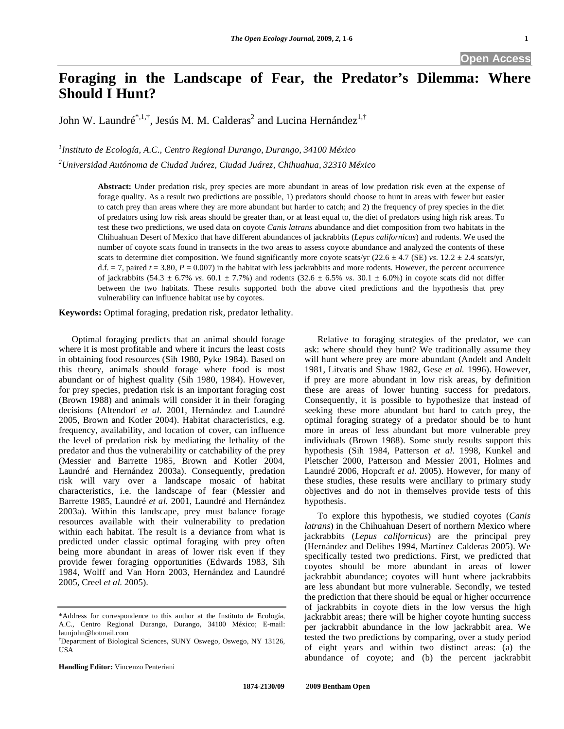**Open Access** 

# **Foraging in the Landscape of Fear, the Predator's Dilemma: Where Should I Hunt?**

John W. Laundré $^{*,1,\dagger}$ , Jesús M. M. Calderas $^2$  and Lucina Hernández $^{1,\dagger}$ 

*1 Instituto de Ecología, A.C., Centro Regional Durango, Durango, 34100 México* 

*2 Universidad Autónoma de Ciudad Juárez, Ciudad Juárez, Chihuahua, 32310 México* 

**Abstract:** Under predation risk, prey species are more abundant in areas of low predation risk even at the expense of forage quality. As a result two predictions are possible, 1) predators should choose to hunt in areas with fewer but easier to catch prey than areas where they are more abundant but harder to catch; and 2) the frequency of prey species in the diet of predators using low risk areas should be greater than, or at least equal to, the diet of predators using high risk areas. To test these two predictions, we used data on coyote *Canis latrans* abundance and diet composition from two habitats in the Chihuahuan Desert of Mexico that have different abundances of jackrabbits (*Lepus californicus*) and rodents. We used the number of coyote scats found in transects in the two areas to assess coyote abundance and analyzed the contents of these scats to determine diet composition. We found significantly more coyote scats/yr (22.6  $\pm$  4.7 (SE) *vs*. 12.2  $\pm$  2.4 scats/yr, d.f.  $= 7$ , paired  $t = 3.80$ ,  $P = 0.007$ ) in the habitat with less jackrabbits and more rodents. However, the percent occurrence of jackrabbits  $(54.3 \pm 6.7\% \text{ vs. } 60.1 \pm 7.7\%)$  and rodents  $(32.6 \pm 6.5\% \text{ vs. } 30.1 \pm 6.0\%)$  in coyote scats did not differ between the two habitats. These results supported both the above cited predictions and the hypothesis that prey vulnerability can influence habitat use by coyotes.

**Keywords:** Optimal foraging, predation risk, predator lethality.

 Optimal foraging predicts that an animal should forage where it is most profitable and where it incurs the least costs in obtaining food resources (Sih 1980, Pyke 1984). Based on this theory, animals should forage where food is most abundant or of highest quality (Sih 1980, 1984). However, for prey species, predation risk is an important foraging cost (Brown 1988) and animals will consider it in their foraging decisions (Altendorf *et al.* 2001, Hernández and Laundré 2005, Brown and Kotler 2004). Habitat characteristics, e.g. frequency, availability, and location of cover, can influence the level of predation risk by mediating the lethality of the predator and thus the vulnerability or catchability of the prey (Messier and Barrette 1985, Brown and Kotler 2004, Laundré and Hernández 2003a). Consequently, predation risk will vary over a landscape mosaic of habitat characteristics, i.e. the landscape of fear (Messier and Barrette 1985, Laundré *et al.* 2001, Laundré and Hernández 2003a). Within this landscape, prey must balance forage resources available with their vulnerability to predation within each habitat. The result is a deviance from what is predicted under classic optimal foraging with prey often being more abundant in areas of lower risk even if they provide fewer foraging opportunities (Edwards 1983, Sih 1984, Wolff and Van Horn 2003, Hernández and Laundré 2005, Creel *et al.* 2005).

**Handling Editor:** Vincenzo Penteriani

 Relative to foraging strategies of the predator, we can ask: where should they hunt? We traditionally assume they will hunt where prey are more abundant (Andelt and Andelt 1981, Litvatis and Shaw 1982, Gese *et al.* 1996). However, if prey are more abundant in low risk areas, by definition these are areas of lower hunting success for predators. Consequently, it is possible to hypothesize that instead of seeking these more abundant but hard to catch prey, the optimal foraging strategy of a predator should be to hunt more in areas of less abundant but more vulnerable prey individuals (Brown 1988). Some study results support this hypothesis (Sih 1984, Patterson *et al.* 1998, Kunkel and Pletscher 2000, Patterson and Messier 2001, Holmes and Laundré 2006, Hopcraft *et al.* 2005). However, for many of these studies, these results were ancillary to primary study objectives and do not in themselves provide tests of this hypothesis.

 To explore this hypothesis, we studied coyotes (*Canis latrans*) in the Chihuahuan Desert of northern Mexico where jackrabbits (*Lepus californicus*) are the principal prey (Hernández and Delibes 1994, Martínez Calderas 2005). We specifically tested two predictions. First, we predicted that coyotes should be more abundant in areas of lower jackrabbit abundance; coyotes will hunt where jackrabbits are less abundant but more vulnerable. Secondly, we tested the prediction that there should be equal or higher occurrence of jackrabbits in coyote diets in the low versus the high jackrabbit areas; there will be higher coyote hunting success per jackrabbit abundance in the low jackrabbit area. We tested the two predictions by comparing, over a study period of eight years and within two distinct areas: (a) the abundance of coyote; and (b) the percent jackrabbit

<sup>\*</sup>Address for correspondence to this author at the Instituto de Ecología, A.C., Centro Regional Durango, Durango, 34100 México; E-mail: launjohn@hotmail.com

<sup>†</sup> Department of Biological Sciences, SUNY Oswego, Oswego, NY 13126, USA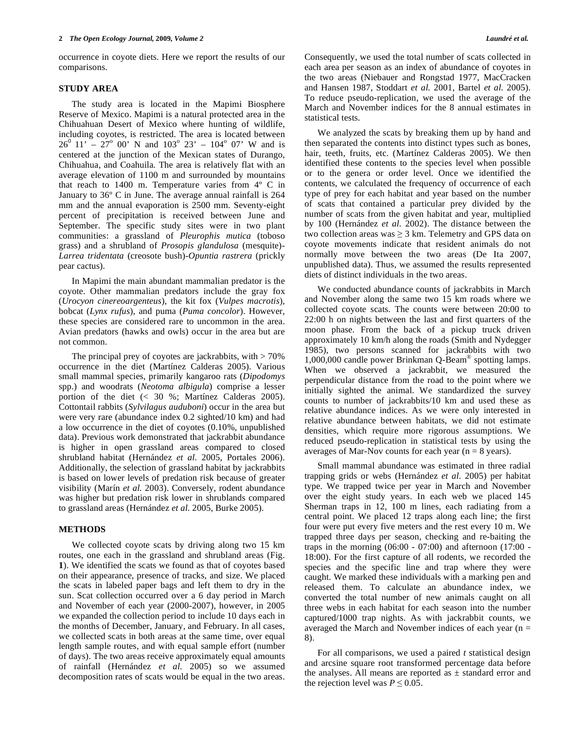occurrence in coyote diets. Here we report the results of our comparisons.

## **STUDY AREA**

 The study area is located in the Mapimi Biosphere Reserve of Mexico. Mapimi is a natural protected area in the Chihuahuan Desert of Mexico where hunting of wildlife, including coyotes, is restricted. The area is located between  $26^0$  11' –  $27^{\circ}$  00' N and 103<sup>°</sup> 23' – 104<sup>°</sup> 07' W and is centered at the junction of the Mexican states of Durango, Chihuahua, and Coahuila. The area is relatively flat with an average elevation of 1100 m and surrounded by mountains that reach to 1400 m. Temperature varies from 4º C in January to 36º C in June. The average annual rainfall is 264 mm and the annual evaporation is 2500 mm. Seventy-eight percent of precipitation is received between June and September. The specific study sites were in two plant communities: a grassland of *Pleurophis mutica* (toboso grass) and a shrubland of *Prosopis glandulosa* (mesquite)- *Larrea tridentata* (creosote bush)-*Opuntia rastrera* (prickly pear cactus).

 In Mapimi the main abundant mammalian predator is the coyote. Other mammalian predators include the gray fox (*Urocyon cinereoargenteus*), the kit fox (*Vulpes macrotis*), bobcat (*Lynx rufus*), and puma (*Puma concolor*). However, these species are considered rare to uncommon in the area. Avian predators (hawks and owls) occur in the area but are not common.

The principal prey of coyotes are jackrabbits, with  $> 70\%$ occurrence in the diet (Martínez Calderas 2005). Various small mammal species, primarily kangaroo rats (*Dipodomys* spp.) and woodrats (*Neotoma albigula*) comprise a lesser portion of the diet (< 30 %; Martínez Calderas 2005). Cottontail rabbits (*Sylvilagus auduboni*) occur in the area but were very rare (abundance index 0.2 sighted/10 km) and had a low occurrence in the diet of coyotes (0.10%, unpublished data). Previous work demonstrated that jackrabbit abundance is higher in open grassland areas compared to closed shrubland habitat (Hernández *et al.* 2005, Portales 2006). Additionally, the selection of grassland habitat by jackrabbits is based on lower levels of predation risk because of greater visibility (Marín *et al.* 2003). Conversely, rodent abundance was higher but predation risk lower in shrublands compared to grassland areas (Hernández *et al.* 2005, Burke 2005).

## **METHODS**

 We collected coyote scats by driving along two 15 km routes, one each in the grassland and shrubland areas (Fig. **1**). We identified the scats we found as that of coyotes based on their appearance, presence of tracks, and size. We placed the scats in labeled paper bags and left them to dry in the sun. Scat collection occurred over a 6 day period in March and November of each year (2000-2007), however, in 2005 we expanded the collection period to include 10 days each in the months of December, January, and February. In all cases, we collected scats in both areas at the same time, over equal length sample routes, and with equal sample effort (number of days). The two areas receive approximately equal amounts of rainfall (Hernández *et al.* 2005) so we assumed decomposition rates of scats would be equal in the two areas. Consequently, we used the total number of scats collected in each area per season as an index of abundance of coyotes in the two areas (Niebauer and Rongstad 1977, MacCracken and Hansen 1987, Stoddart *et al.* 2001, Bartel *et al.* 2005). To reduce pseudo-replication, we used the average of the March and November indices for the 8 annual estimates in statistical tests.

 We analyzed the scats by breaking them up by hand and then separated the contents into distinct types such as bones, hair, teeth, fruits, etc. (Martínez Calderas 2005). We then identified these contents to the species level when possible or to the genera or order level. Once we identified the contents, we calculated the frequency of occurrence of each type of prey for each habitat and year based on the number of scats that contained a particular prey divided by the number of scats from the given habitat and year, multiplied by 100 (Hernández *et al.* 2002). The distance between the two collection areas was  $\geq 3$  km. Telemetry and GPS data on coyote movements indicate that resident animals do not normally move between the two areas (De Ita 2007, unpublished data). Thus, we assumed the results represented diets of distinct individuals in the two areas.

 We conducted abundance counts of jackrabbits in March and November along the same two 15 km roads where we collected coyote scats. The counts were between 20:00 to 22:00 h on nights between the last and first quarters of the moon phase. From the back of a pickup truck driven approximately 10 km/h along the roads (Smith and Nydegger 1985), two persons scanned for jackrabbits with two 1,000,000 candle power Brinkman Q-Beam® spotting lamps. When we observed a jackrabbit, we measured the perpendicular distance from the road to the point where we initially sighted the animal. We standardized the survey counts to number of jackrabbits/10 km and used these as relative abundance indices. As we were only interested in relative abundance between habitats, we did not estimate densities, which require more rigorous assumptions. We reduced pseudo-replication in statistical tests by using the averages of Mar-Nov counts for each year ( $n = 8$  years).

 Small mammal abundance was estimated in three radial trapping grids or webs (Hernández *et al.* 2005) per habitat type. We trapped twice per year in March and November over the eight study years. In each web we placed 145 Sherman traps in 12, 100 m lines, each radiating from a central point. We placed 12 traps along each line; the first four were put every five meters and the rest every 10 m. We trapped three days per season, checking and re-baiting the traps in the morning  $(06:00 - 07:00)$  and afternoon  $(17:00 - 0.00)$ 18:00). For the first capture of all rodents, we recorded the species and the specific line and trap where they were caught. We marked these individuals with a marking pen and released them. To calculate an abundance index, we converted the total number of new animals caught on all three webs in each habitat for each season into the number captured/1000 trap nights. As with jackrabbit counts, we averaged the March and November indices of each year (n = 8).

 For all comparisons, we used a paired *t* statistical design and arcsine square root transformed percentage data before the analyses. All means are reported as  $\pm$  standard error and the rejection level was  $P \leq 0.05$ .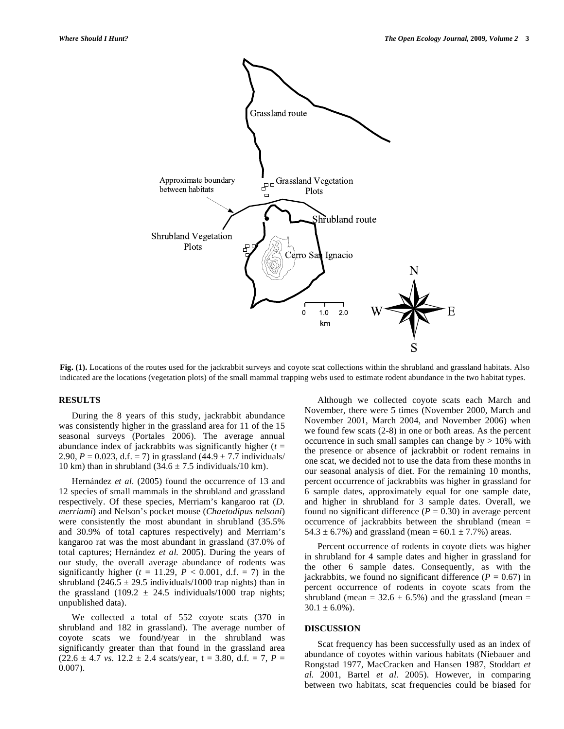

**Fig. (1).** Locations of the routes used for the jackrabbit surveys and coyote scat collections within the shrubland and grassland habitats. Also indicated are the locations (vegetation plots) of the small mammal trapping webs used to estimate rodent abundance in the two habitat types.

### **RESULTS**

 During the 8 years of this study, jackrabbit abundance was consistently higher in the grassland area for 11 of the 15 seasonal surveys (Portales 2006). The average annual abundance index of jackrabbits was significantly higher (*t* = 2.90,  $P = 0.023$ , d.f. = 7) in grassland  $(44.9 \pm 7.7 \text{ individuals} /$ 10 km) than in shrubland  $(34.6 \pm 7.5 \text{ individuals}/10 \text{ km})$ .

Hernández *et al.* (2005) found the occurrence of 13 and 12 species of small mammals in the shrubland and grassland respectively. Of these species, Merriam's kangaroo rat (*D. merriami*) and Nelson's pocket mouse (*Chaetodipus nelsoni*) were consistently the most abundant in shrubland (35.5% and 30.9% of total captures respectively) and Merriam's kangaroo rat was the most abundant in grassland (37.0% of total captures; Hernández *et al.* 2005). During the years of our study, the overall average abundance of rodents was significantly higher ( $t = 11.29$ ,  $P < 0.001$ , d.f. = 7) in the shrubland  $(246.5 \pm 29.5 \text{ individuals}/1000 \text{ trap nights})$  than in the grassland (109.2  $\pm$  24.5 individuals/1000 trap nights; unpublished data).

 We collected a total of 552 coyote scats (370 in shrubland and 182 in grassland). The average number of coyote scats we found/year in the shrubland was significantly greater than that found in the grassland area  $(22.6 \pm 4.7 \text{ vs. } 12.2 \pm 2.4 \text{ scats/year}, t = 3.80, d.f. = 7, P =$ 0.007).

 Although we collected coyote scats each March and November, there were 5 times (November 2000, March and November 2001, March 2004, and November 2006) when we found few scats (2-8) in one or both areas. As the percent occurrence in such small samples can change by > 10% with the presence or absence of jackrabbit or rodent remains in one scat, we decided not to use the data from these months in our seasonal analysis of diet. For the remaining 10 months, percent occurrence of jackrabbits was higher in grassland for 6 sample dates, approximately equal for one sample date, and higher in shrubland for 3 sample dates. Overall, we found no significant difference  $(P = 0.30)$  in average percent occurrence of jackrabbits between the shrubland (mean = 54.3  $\pm$  6.7%) and grassland (mean = 60.1  $\pm$  7.7%) areas.

 Percent occurrence of rodents in coyote diets was higher in shrubland for 4 sample dates and higher in grassland for the other 6 sample dates. Consequently, as with the jackrabbits, we found no significant difference  $(P = 0.67)$  in percent occurrence of rodents in coyote scats from the shrubland (mean =  $32.6 \pm 6.5\%$ ) and the grassland (mean =  $30.1 \pm 6.0\%$ ).

## **DISCUSSION**

 Scat frequency has been successfully used as an index of abundance of coyotes within various habitats (Niebauer and Rongstad 1977, MacCracken and Hansen 1987, Stoddart *et al.* 2001, Bartel *et al.* 2005). However, in comparing between two habitats, scat frequencies could be biased for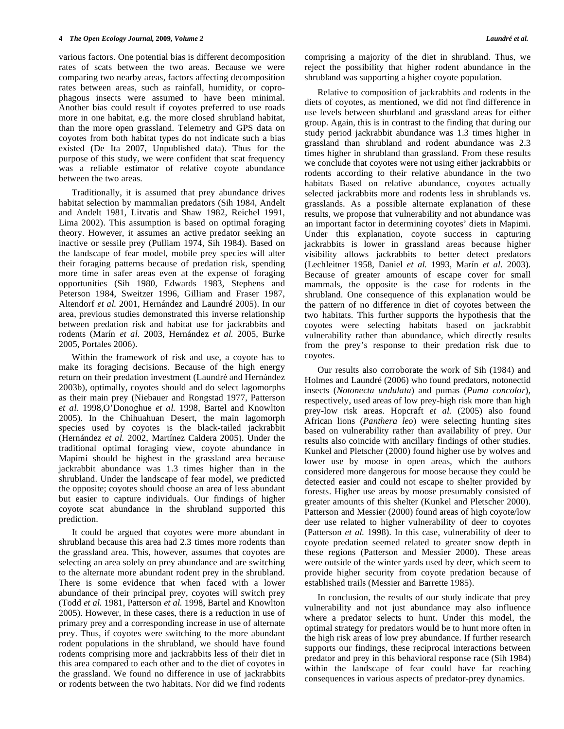various factors. One potential bias is different decomposition rates of scats between the two areas. Because we were comparing two nearby areas, factors affecting decomposition rates between areas, such as rainfall, humidity, or coprophagous insects were assumed to have been minimal. Another bias could result if coyotes preferred to use roads more in one habitat, e.g. the more closed shrubland habitat, than the more open grassland. Telemetry and GPS data on coyotes from both habitat types do not indicate such a bias existed (De Ita 2007, Unpublished data). Thus for the purpose of this study, we were confident that scat frequency was a reliable estimator of relative coyote abundance between the two areas.

 Traditionally, it is assumed that prey abundance drives habitat selection by mammalian predators (Sih 1984, Andelt and Andelt 1981, Litvatis and Shaw 1982, Reichel 1991, Lima 2002). This assumption is based on optimal foraging theory. However, it assumes an active predator seeking an inactive or sessile prey (Pulliam 1974, Sih 1984). Based on the landscape of fear model, mobile prey species will alter their foraging patterns because of predation risk, spending more time in safer areas even at the expense of foraging opportunities (Sih 1980, Edwards 1983, Stephens and Peterson 1984, Sweitzer 1996, Gilliam and Fraser 1987, Altendorf *et al.* 2001, Hernández and Laundré 2005). In our area, previous studies demonstrated this inverse relationship between predation risk and habitat use for jackrabbits and rodents (Marín *et al.* 2003, Hernández *et al.* 2005, Burke 2005, Portales 2006).

 Within the framework of risk and use, a coyote has to make its foraging decisions. Because of the high energy return on their predation investment (Laundré and Hernández 2003b), optimally, coyotes should and do select lagomorphs as their main prey (Niebauer and Rongstad 1977, Patterson *et al.* 1998,O'Donoghue *et al.* 1998, Bartel and Knowlton 2005). In the Chihuahuan Desert, the main lagomorph species used by coyotes is the black-tailed jackrabbit (Hernández *et al.* 2002, Martínez Caldera 2005). Under the traditional optimal foraging view, coyote abundance in Mapimi should be highest in the grassland area because jackrabbit abundance was 1.3 times higher than in the shrubland. Under the landscape of fear model, we predicted the opposite; coyotes should choose an area of less abundant but easier to capture individuals. Our findings of higher coyote scat abundance in the shrubland supported this prediction.

 It could be argued that coyotes were more abundant in shrubland because this area had 2.3 times more rodents than the grassland area. This, however, assumes that coyotes are selecting an area solely on prey abundance and are switching to the alternate more abundant rodent prey in the shrubland. There is some evidence that when faced with a lower abundance of their principal prey, coyotes will switch prey (Todd *et al.* 1981, Patterson *et al.* 1998, Bartel and Knowlton 2005). However, in these cases, there is a reduction in use of primary prey and a corresponding increase in use of alternate prey. Thus, if coyotes were switching to the more abundant rodent populations in the shrubland, we should have found rodents comprising more and jackrabbits less of their diet in this area compared to each other and to the diet of coyotes in the grassland. We found no difference in use of jackrabbits or rodents between the two habitats. Nor did we find rodents

comprising a majority of the diet in shrubland. Thus, we reject the possibility that higher rodent abundance in the shrubland was supporting a higher coyote population.

 Relative to composition of jackrabbits and rodents in the diets of coyotes, as mentioned, we did not find difference in use levels between shurbland and grassland areas for either group. Again, this is in contrast to the finding that during our study period jackrabbit abundance was 1.3 times higher in grassland than shrubland and rodent abundance was 2.3 times higher in shrubland than grassland. From these results we conclude that coyotes were not using either jackrabbits or rodents according to their relative abundance in the two habitats Based on relative abundance, coyotes actually selected jackrabbits more and rodents less in shrublands vs. grasslands. As a possible alternate explanation of these results, we propose that vulnerability and not abundance was an important factor in determining coyotes' diets in Mapimi. Under this explanation, coyote success in capturing jackrabbits is lower in grassland areas because higher visibility allows jackrabbits to better detect predators (Lechleitner 1958, Daniel *et al.* 1993, Marín *et al.* 2003). Because of greater amounts of escape cover for small mammals, the opposite is the case for rodents in the shrubland. One consequence of this explanation would be the pattern of no difference in diet of coyotes between the two habitats. This further supports the hypothesis that the coyotes were selecting habitats based on jackrabbit vulnerability rather than abundance, which directly results from the prey's response to their predation risk due to coyotes.

 Our results also corroborate the work of Sih (1984) and Holmes and Laundré (2006) who found predators, notonectid insects (*Notonecta undulata*) and pumas (*Puma concolor*), respectively, used areas of low prey-high risk more than high prey-low risk areas. Hopcraft *et al.* (2005) also found African lions (*Panthera leo*) were selecting hunting sites based on vulnerability rather than availability of prey. Our results also coincide with ancillary findings of other studies. Kunkel and Pletscher (2000) found higher use by wolves and lower use by moose in open areas, which the authors considered more dangerous for moose because they could be detected easier and could not escape to shelter provided by forests. Higher use areas by moose presumably consisted of greater amounts of this shelter (Kunkel and Pletscher 2000). Patterson and Messier (2000) found areas of high coyote/low deer use related to higher vulnerability of deer to coyotes (Patterson *et al.* 1998). In this case, vulnerability of deer to coyote predation seemed related to greater snow depth in these regions (Patterson and Messier 2000). These areas were outside of the winter yards used by deer, which seem to provide higher security from coyote predation because of established trails (Messier and Barrette 1985).

 In conclusion, the results of our study indicate that prey vulnerability and not just abundance may also influence where a predator selects to hunt. Under this model, the optimal strategy for predators would be to hunt more often in the high risk areas of low prey abundance. If further research supports our findings, these reciprocal interactions between predator and prey in this behavioral response race (Sih 1984) within the landscape of fear could have far reaching consequences in various aspects of predator-prey dynamics.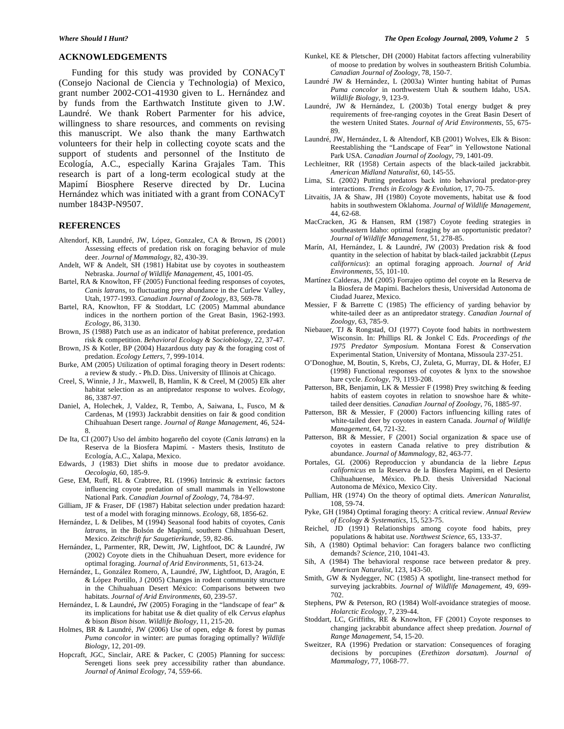#### **ACKNOWLEDGEMENTS**

 Funding for this study was provided by CONACyT (Consejo Nacional de Ciencia y Technologia) of Mexico, grant number 2002-CO1-41930 given to L. Hernández and by funds from the Earthwatch Institute given to J.W. Laundré. We thank Robert Parmenter for his advice, willingness to share resources, and comments on revising this manuscript. We also thank the many Earthwatch volunteers for their help in collecting coyote scats and the support of students and personnel of the Instituto de Ecología, A.C., especially Karina Grajales Tam. This research is part of a long-term ecological study at the Mapimí Biosphere Reserve directed by Dr. Lucina Hernández which was initiated with a grant from CONACyT number 1843P-N9507.

#### **REFERENCES**

- Altendorf, KB, Laundré, JW, López, Gonzalez, CA & Brown, JS (2001) Assessing effects of predation risk on foraging behavior of mule deer. *Journal of Mammalogy*, 82, 430-39.
- Andelt, WF & Andelt, SH (1981) Habitat use by coyotes in southeastern Nebraska. *Journal of Wildlife Management*, 45, 1001-05.
- Bartel, RA & Knowlton, FF (2005) Functional feeding responses of coyotes, *Canis latrans*, to fluctuating prey abundance in the Curlew Valley, Utah, 1977-1993. *Canadian Journal of Zoology*, 83, 569-78.
- Bartel, RA, Knowlton, FF & Stoddart, LC (2005) Mammal abundance indices in the northern portion of the Great Basin, 1962-1993. *Ecology*, 86, 3130.
- Brown, JS (1988) Patch use as an indicator of habitat preference, predation risk & competition. *Behavioral Ecology & Sociobiology*, 22, 37-47.
- Brown, JS & Kotler, BP (2004) Hazardous duty pay & the foraging cost of predation. *Ecology Letters*, 7, 999-1014.
- Burke, AM (2005) Utilization of optimal foraging theory in Desert rodents: a review & study. - Ph.D. Diss. University of Illinois at Chicago.
- Creel, S, Winnie, J Jr., Maxwell, B, Hamlin, K & Creel, M (2005) Elk alter habitat selection as an antipredator response to wolves. *Ecology*, 86, 3387-97.
- Daniel, A, Holechek, J, Valdez, R, Tembo, A, Saiwana, L, Fusco, M & Cardenas, M (1993) Jackrabbit densities on fair & good condition Chihuahuan Desert range. *Journal of Range Management*, 46, 524- 8.
- De Ita, CI (2007) Uso del ámbito hogareño del coyote (*Canis latrans*) en la Reserva de la Biosfera Mapimí*.* - Masters thesis, Instituto de Ecología, A.C., Xalapa, Mexico.
- Edwards, J (1983) Diet shifts in moose due to predator avoidance. *Oecologia*, 60, 185-9.
- Gese, EM, Ruff, RL & Crabtree, RL (1996) Intrinsic & extrinsic factors influencing coyote predation of small mammals in Yellowstone National Park. *Canadian Journal of Zoology*, 74, 784-97.
- Gilliam, JF & Fraser, DF (1987) Habitat selection under predation hazard: test of a model with foraging minnows. *Ecology*, 68, 1856-62.
- Hernández, L & Delibes, M (1994) Seasonal food habits of coyotes, *Canis latrans*, in the Bolsón de Mapimí, southern Chihuahuan Desert, Mexico. *Zeitschrift fur Saugetierkunde*, 59, 82-86.
- Hernández, L, Parmenter, RR, Dewitt, JW, Lightfoot, DC & Laundré, JW (2002) Coyote diets in the Chihuahuan Desert, more evidence for optimal foraging. *Journal of Arid Environments*, 51, 613-24.
- Hernández, L, González Romero, A, Laundré, JW, Lightfoot, D, Aragón, E & López Portillo, J (2005) Changes in rodent community structure in the Chihuahuan Desert México: Comparisons between two habitats. *Journal of Arid Environments*, 60, 239-57.
- Hernández, L & Laundré**,** JW (2005) Foraging in the "landscape of fear" & its implications for habitat use & diet quality of elk *Cervus elaphus &* bison *Bison bison*. *Wildlife Biology*, 11, 215-20.
- Holmes, BR & Laundré, JW (2006) Use of open, edge & forest by pumas *Puma concolor* in winter: are pumas foraging optimally? *Wildlife Biology*, 12, 201-09.
- Hopcraft, JGC, Sinclair, ARE & Packer, C (2005) Planning for success: Serengeti lions seek prey accessibility rather than abundance. *Journal of Animal Ecology*, 74, 559-66.
- Kunkel, KE & Pletscher, DH (2000) Habitat factors affecting vulnerability of moose to predation by wolves in southeastern British Columbia. *Canadian Journal of Zoology*, 78, 150-7.
- Laundré JW & Hernández, L (2003a) Winter hunting habitat of Pumas *Puma concolor* in northwestern Utah & southern Idaho, USA. *Wildlife Biology*, 9, 123-9.
- Laundré, JW & Hernández, L (2003b) Total energy budget & prey requirements of free-ranging coyotes in the Great Basin Desert of the western United States. *Journal of Arid Environments*, 55, 675- 89.
- Laundré, JW, Hernández, L & Altendorf, KB (2001) Wolves, Elk & Bison: Reestablishing the "Landscape of Fear" in Yellowstone National Park USA. *Canadian Journal of Zoology*, 79, 1401-09.
- Lechleitner, RR (1958) Certain aspects of the black-tailed jackrabbit. *American Midland Naturalist*, 60, 145-55.
- Lima, SL (2002) Putting predators back into behavioral predator-prey interactions. *Trends in Ecology & Evolution*, 17, 70-75.
- Litvaitis, JA & Shaw, JH (1980) Coyote movements, habitat use & food habits in southwestern Oklahoma. *Journal of Wildlife Management*, 44, 62-68.
- MacCracken, JG & Hansen, RM (1987) Coyote feeding strategies in southeastern Idaho: optimal foraging by an opportunistic predator? *Journal of Wildlife Management*, 51, 278-85.
- Marín, AI, Hernández, L & Laundré, JW (2003) Predation risk & food quantity in the selection of habitat by black-tailed jackrabbit (*Lepus californicus*): an optimal foraging approach. *Journal of Arid Environments*, 55, 101-10.
- Martínez Calderas, JM (2005) Forrajeo optimo del coyote en la Reserva de la Biosfera de Mapimi. Bachelors thesis, Universidad Autonoma de Ciudad Juarez, Mexico.
- Messier, F & Barrette C (1985) The efficiency of yarding behavior by white-tailed deer as an antipredator strategy. *Canadian Journal of Zoology*, 63, 785-9.
- Niebauer, TJ & Rongstad, OJ (1977) Coyote food habits in northwestern Wisconsin. In: Phillips RL & Jonkel C Eds. *Proceedings of the 1975 Predator Symposium*. Montana Forest & Conservation Experimental Station, University of Montana, Missoula 237-251.
- O'Donoghue, M, Boutin, S, Krebs, CJ, Zuleta, G, Murray, DL & Hofer, EJ (1998) Functional responses of coyotes & lynx to the snowshoe hare cycle. *Ecology,* 79, 1193-208.
- Patterson, BR, Benjamin, LK & Messier F (1998) Prey switching & feeding habits of eastern coyotes in relation to snowshoe hare & whitetailed deer densities. *Canadian Journal of Zoology*, 76, 1885-97.
- Patterson, BR & Messier, F (2000) Factors influencing killing rates of white-tailed deer by coyotes in eastern Canada. *Journal of Wildlife Management*, 64, 721-32.
- Patterson, BR & Messier, F (2001) Social organization & space use of coyotes in eastern Canada relative to prey distribution & abundance. *Journal of Mammalogy*, 82, 463-77.
- Portales, GL (2006) Reproduccion y abundancia de la liebre *Lepus californicus* en la Reserva de la Biosfera Mapimi, en el Desierto Chihuahuense, México. Ph.D. thesis Universidad Nacional Autonoma de México, Mexico City.
- Pulliam, HR (1974) On the theory of optimal diets. *American Naturalist*, 108, 59-74.
- Pyke, GH (1984) Optimal foraging theory: A critical review. *Annual Review of Ecology & Systematics*, 15, 523-75.
- Reichel, JD (1991) Relationships among coyote food habits, prey populations & habitat use. *Northwest Science*, 65, 133-37.
- Sih, A (1980) Optimal behavior: Can foragers balance two conflicting demands? *Science*, 210, 1041-43.
- Sih, A (1984) The behavioral response race between predator & prey. *American Naturalist,* 123, 143-50.
- Smith, GW & Nydegger, NC (1985) A spotlight, line-transect method for surveying jackrabbits. *Journal of Wildlife Management*, 49, 699- 702.
- Stephens, PW & Peterson, RO (1984) Wolf-avoidance strategies of moose. *Holarctic Ecology*, 7, 239-44.
- Stoddart, LC, Griffiths, RE & Knowlton, FF (2001) Coyote responses to changing jackrabbit abundance affect sheep predation. *Journal of Range Management*, 54, 15-20.
- Sweitzer, RA (1996) Predation or starvation: Consequences of foraging decisions by porcupines (*Erethizon dorsatum*). *Journal of Mammalogy*, 77, 1068-77.